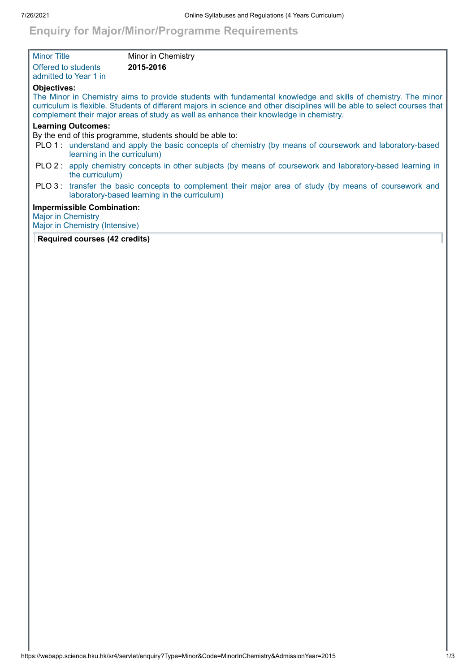## **Enquiry for Major/Minor/Programme Requirements**

| <b>Minor Title</b>                                                                               |                                              | Minor in Chemistry                                                                                                                                                                                                                                                                                                                   |  |  |
|--------------------------------------------------------------------------------------------------|----------------------------------------------|--------------------------------------------------------------------------------------------------------------------------------------------------------------------------------------------------------------------------------------------------------------------------------------------------------------------------------------|--|--|
|                                                                                                  | Offered to students<br>admitted to Year 1 in | 2015-2016                                                                                                                                                                                                                                                                                                                            |  |  |
| <b>Objectives:</b>                                                                               |                                              | The Minor in Chemistry aims to provide students with fundamental knowledge and skills of chemistry. The minor<br>curriculum is flexible. Students of different majors in science and other disciplines will be able to select courses that<br>complement their major areas of study as well as enhance their knowledge in chemistry. |  |  |
| <b>Learning Outcomes:</b><br>By the end of this programme, students should be able to:           |                                              |                                                                                                                                                                                                                                                                                                                                      |  |  |
|                                                                                                  | learning in the curriculum)                  | PLO 1: understand and apply the basic concepts of chemistry (by means of coursework and laboratory-based                                                                                                                                                                                                                             |  |  |
|                                                                                                  | the curriculum)                              | PLO 2: apply chemistry concepts in other subjects (by means of coursework and laboratory-based learning in                                                                                                                                                                                                                           |  |  |
|                                                                                                  |                                              | PLO 3: transfer the basic concepts to complement their major area of study (by means of coursework and<br>laboratory-based learning in the curriculum)                                                                                                                                                                               |  |  |
| <b>Impermissible Combination:</b><br><b>Major in Chemistry</b><br>Major in Chemistry (Intensive) |                                              |                                                                                                                                                                                                                                                                                                                                      |  |  |

## **Required courses (42 credits)**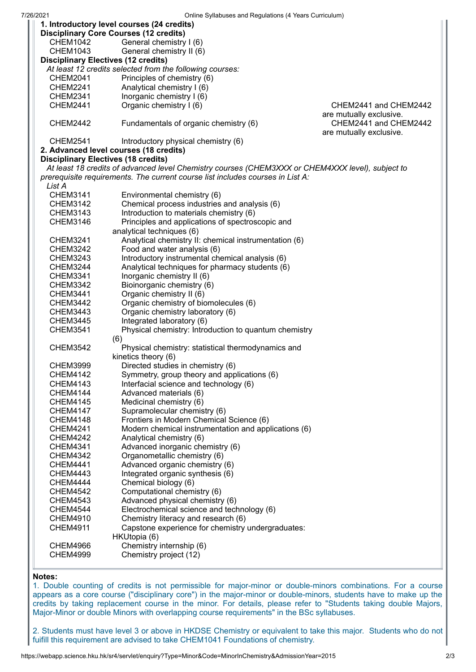| <b>CHEM1043</b><br>General chemistry II (6)<br><b>Disciplinary Electives (12 credits)</b><br>At least 12 credits selected from the following courses:<br><b>CHEM2041</b><br>Principles of chemistry (6)<br><b>CHEM2241</b><br>Analytical chemistry I (6)<br><b>CHEM2341</b><br>Inorganic chemistry I (6)<br>Organic chemistry I (6)<br><b>CHEM2441</b><br>CHEM2441 and CHEM2442<br>are mutually exclusive.<br>CHEM2441 and CHEM2442<br><b>CHEM2442</b><br>Fundamentals of organic chemistry (6)<br>are mutually exclusive.<br><b>CHEM2541</b><br>Introductory physical chemistry (6)<br>2. Advanced level courses (18 credits)<br><b>Disciplinary Electives (18 credits)</b><br>At least 18 credits of advanced level Chemistry courses (CHEM3XXX or CHEM4XXX level), subject to<br>prerequisite requirements. The current course list includes courses in List A:<br>List A<br><b>CHEM3141</b><br>Environmental chemistry (6)<br>Chemical process industries and analysis (6)<br>CHEM3142<br>Introduction to materials chemistry (6)<br><b>CHEM3143</b><br><b>CHEM3146</b><br>Principles and applications of spectroscopic and<br>analytical techniques (6)<br>Analytical chemistry II: chemical instrumentation (6)<br><b>CHEM3241</b><br><b>CHEM3242</b><br>Food and water analysis (6)<br>Introductory instrumental chemical analysis (6)<br><b>CHEM3243</b><br><b>CHEM3244</b><br>Analytical techniques for pharmacy students (6)<br><b>CHEM3341</b><br>Inorganic chemistry II (6)<br><b>CHEM3342</b><br>Bioinorganic chemistry (6)<br><b>CHEM3441</b><br>Organic chemistry II (6)<br>Organic chemistry of biomolecules (6)<br><b>CHEM3442</b><br><b>CHEM3443</b><br>Organic chemistry laboratory (6)<br><b>CHEM3445</b><br>Integrated laboratory (6)<br>Physical chemistry: Introduction to quantum chemistry<br><b>CHEM3541</b><br>(6)<br><b>CHEM3542</b><br>Physical chemistry: statistical thermodynamics and<br>kinetics theory (6)<br>Directed studies in chemistry (6)<br><b>CHEM3999</b><br>Symmetry, group theory and applications (6)<br><b>CHEM4142</b><br><b>CHEM4143</b><br>Interfacial science and technology (6)<br><b>CHEM4144</b><br>Advanced materials (6)<br>Medicinal chemistry (6)<br><b>CHEM4145</b><br><b>CHEM4147</b><br>Supramolecular chemistry (6)<br>Frontiers in Modern Chemical Science (6)<br><b>CHEM4148</b><br><b>CHEM4241</b><br>Modern chemical instrumentation and applications (6)<br><b>CHEM4242</b><br>Analytical chemistry (6)<br><b>CHEM4341</b><br>Advanced inorganic chemistry (6)<br><b>CHEM4342</b><br>Organometallic chemistry (6)<br><b>CHEM4441</b><br>Advanced organic chemistry (6)<br>Integrated organic synthesis (6)<br><b>CHEM4443</b><br><b>CHEM4444</b><br>Chemical biology (6)<br><b>CHEM4542</b><br>Computational chemistry (6)<br><b>CHEM4543</b><br>Advanced physical chemistry (6)<br><b>CHEM4544</b><br>Electrochemical science and technology (6)<br><b>CHEM4910</b><br>Chemistry literacy and research (6)<br><b>CHEM4911</b><br>Capstone experience for chemistry undergraduates:<br>HKUtopia (6)<br>Chemistry internship (6)<br>CHEM4966<br><b>CHEM4999</b><br>Chemistry project (12) | Unline Oyliabuses and Requiations (4 Tears Curriculum)<br>1. Introductory level courses (24 credits)<br><b>Disciplinary Core Courses (12 credits)</b><br>General chemistry I (6)<br><b>CHEM1042</b> |  |  |  |  |  |  |
|--------------------------------------------------------------------------------------------------------------------------------------------------------------------------------------------------------------------------------------------------------------------------------------------------------------------------------------------------------------------------------------------------------------------------------------------------------------------------------------------------------------------------------------------------------------------------------------------------------------------------------------------------------------------------------------------------------------------------------------------------------------------------------------------------------------------------------------------------------------------------------------------------------------------------------------------------------------------------------------------------------------------------------------------------------------------------------------------------------------------------------------------------------------------------------------------------------------------------------------------------------------------------------------------------------------------------------------------------------------------------------------------------------------------------------------------------------------------------------------------------------------------------------------------------------------------------------------------------------------------------------------------------------------------------------------------------------------------------------------------------------------------------------------------------------------------------------------------------------------------------------------------------------------------------------------------------------------------------------------------------------------------------------------------------------------------------------------------------------------------------------------------------------------------------------------------------------------------------------------------------------------------------------------------------------------------------------------------------------------------------------------------------------------------------------------------------------------------------------------------------------------------------------------------------------------------------------------------------------------------------------------------------------------------------------------------------------------------------------------------------------------------------------------------------------------------------------------------------------------------------------------------------------------------------------------------------------------------------------------------------------------------------------------------------------------------------------------------------------------------------------------------------------------|-----------------------------------------------------------------------------------------------------------------------------------------------------------------------------------------------------|--|--|--|--|--|--|
|                                                                                                                                                                                                                                                                                                                                                                                                                                                                                                                                                                                                                                                                                                                                                                                                                                                                                                                                                                                                                                                                                                                                                                                                                                                                                                                                                                                                                                                                                                                                                                                                                                                                                                                                                                                                                                                                                                                                                                                                                                                                                                                                                                                                                                                                                                                                                                                                                                                                                                                                                                                                                                                                                                                                                                                                                                                                                                                                                                                                                                                                                                                                                              |                                                                                                                                                                                                     |  |  |  |  |  |  |
|                                                                                                                                                                                                                                                                                                                                                                                                                                                                                                                                                                                                                                                                                                                                                                                                                                                                                                                                                                                                                                                                                                                                                                                                                                                                                                                                                                                                                                                                                                                                                                                                                                                                                                                                                                                                                                                                                                                                                                                                                                                                                                                                                                                                                                                                                                                                                                                                                                                                                                                                                                                                                                                                                                                                                                                                                                                                                                                                                                                                                                                                                                                                                              |                                                                                                                                                                                                     |  |  |  |  |  |  |
|                                                                                                                                                                                                                                                                                                                                                                                                                                                                                                                                                                                                                                                                                                                                                                                                                                                                                                                                                                                                                                                                                                                                                                                                                                                                                                                                                                                                                                                                                                                                                                                                                                                                                                                                                                                                                                                                                                                                                                                                                                                                                                                                                                                                                                                                                                                                                                                                                                                                                                                                                                                                                                                                                                                                                                                                                                                                                                                                                                                                                                                                                                                                                              |                                                                                                                                                                                                     |  |  |  |  |  |  |
|                                                                                                                                                                                                                                                                                                                                                                                                                                                                                                                                                                                                                                                                                                                                                                                                                                                                                                                                                                                                                                                                                                                                                                                                                                                                                                                                                                                                                                                                                                                                                                                                                                                                                                                                                                                                                                                                                                                                                                                                                                                                                                                                                                                                                                                                                                                                                                                                                                                                                                                                                                                                                                                                                                                                                                                                                                                                                                                                                                                                                                                                                                                                                              |                                                                                                                                                                                                     |  |  |  |  |  |  |
|                                                                                                                                                                                                                                                                                                                                                                                                                                                                                                                                                                                                                                                                                                                                                                                                                                                                                                                                                                                                                                                                                                                                                                                                                                                                                                                                                                                                                                                                                                                                                                                                                                                                                                                                                                                                                                                                                                                                                                                                                                                                                                                                                                                                                                                                                                                                                                                                                                                                                                                                                                                                                                                                                                                                                                                                                                                                                                                                                                                                                                                                                                                                                              |                                                                                                                                                                                                     |  |  |  |  |  |  |
|                                                                                                                                                                                                                                                                                                                                                                                                                                                                                                                                                                                                                                                                                                                                                                                                                                                                                                                                                                                                                                                                                                                                                                                                                                                                                                                                                                                                                                                                                                                                                                                                                                                                                                                                                                                                                                                                                                                                                                                                                                                                                                                                                                                                                                                                                                                                                                                                                                                                                                                                                                                                                                                                                                                                                                                                                                                                                                                                                                                                                                                                                                                                                              |                                                                                                                                                                                                     |  |  |  |  |  |  |
|                                                                                                                                                                                                                                                                                                                                                                                                                                                                                                                                                                                                                                                                                                                                                                                                                                                                                                                                                                                                                                                                                                                                                                                                                                                                                                                                                                                                                                                                                                                                                                                                                                                                                                                                                                                                                                                                                                                                                                                                                                                                                                                                                                                                                                                                                                                                                                                                                                                                                                                                                                                                                                                                                                                                                                                                                                                                                                                                                                                                                                                                                                                                                              |                                                                                                                                                                                                     |  |  |  |  |  |  |
|                                                                                                                                                                                                                                                                                                                                                                                                                                                                                                                                                                                                                                                                                                                                                                                                                                                                                                                                                                                                                                                                                                                                                                                                                                                                                                                                                                                                                                                                                                                                                                                                                                                                                                                                                                                                                                                                                                                                                                                                                                                                                                                                                                                                                                                                                                                                                                                                                                                                                                                                                                                                                                                                                                                                                                                                                                                                                                                                                                                                                                                                                                                                                              |                                                                                                                                                                                                     |  |  |  |  |  |  |
|                                                                                                                                                                                                                                                                                                                                                                                                                                                                                                                                                                                                                                                                                                                                                                                                                                                                                                                                                                                                                                                                                                                                                                                                                                                                                                                                                                                                                                                                                                                                                                                                                                                                                                                                                                                                                                                                                                                                                                                                                                                                                                                                                                                                                                                                                                                                                                                                                                                                                                                                                                                                                                                                                                                                                                                                                                                                                                                                                                                                                                                                                                                                                              |                                                                                                                                                                                                     |  |  |  |  |  |  |
|                                                                                                                                                                                                                                                                                                                                                                                                                                                                                                                                                                                                                                                                                                                                                                                                                                                                                                                                                                                                                                                                                                                                                                                                                                                                                                                                                                                                                                                                                                                                                                                                                                                                                                                                                                                                                                                                                                                                                                                                                                                                                                                                                                                                                                                                                                                                                                                                                                                                                                                                                                                                                                                                                                                                                                                                                                                                                                                                                                                                                                                                                                                                                              |                                                                                                                                                                                                     |  |  |  |  |  |  |
|                                                                                                                                                                                                                                                                                                                                                                                                                                                                                                                                                                                                                                                                                                                                                                                                                                                                                                                                                                                                                                                                                                                                                                                                                                                                                                                                                                                                                                                                                                                                                                                                                                                                                                                                                                                                                                                                                                                                                                                                                                                                                                                                                                                                                                                                                                                                                                                                                                                                                                                                                                                                                                                                                                                                                                                                                                                                                                                                                                                                                                                                                                                                                              |                                                                                                                                                                                                     |  |  |  |  |  |  |
|                                                                                                                                                                                                                                                                                                                                                                                                                                                                                                                                                                                                                                                                                                                                                                                                                                                                                                                                                                                                                                                                                                                                                                                                                                                                                                                                                                                                                                                                                                                                                                                                                                                                                                                                                                                                                                                                                                                                                                                                                                                                                                                                                                                                                                                                                                                                                                                                                                                                                                                                                                                                                                                                                                                                                                                                                                                                                                                                                                                                                                                                                                                                                              |                                                                                                                                                                                                     |  |  |  |  |  |  |
|                                                                                                                                                                                                                                                                                                                                                                                                                                                                                                                                                                                                                                                                                                                                                                                                                                                                                                                                                                                                                                                                                                                                                                                                                                                                                                                                                                                                                                                                                                                                                                                                                                                                                                                                                                                                                                                                                                                                                                                                                                                                                                                                                                                                                                                                                                                                                                                                                                                                                                                                                                                                                                                                                                                                                                                                                                                                                                                                                                                                                                                                                                                                                              |                                                                                                                                                                                                     |  |  |  |  |  |  |
|                                                                                                                                                                                                                                                                                                                                                                                                                                                                                                                                                                                                                                                                                                                                                                                                                                                                                                                                                                                                                                                                                                                                                                                                                                                                                                                                                                                                                                                                                                                                                                                                                                                                                                                                                                                                                                                                                                                                                                                                                                                                                                                                                                                                                                                                                                                                                                                                                                                                                                                                                                                                                                                                                                                                                                                                                                                                                                                                                                                                                                                                                                                                                              |                                                                                                                                                                                                     |  |  |  |  |  |  |
|                                                                                                                                                                                                                                                                                                                                                                                                                                                                                                                                                                                                                                                                                                                                                                                                                                                                                                                                                                                                                                                                                                                                                                                                                                                                                                                                                                                                                                                                                                                                                                                                                                                                                                                                                                                                                                                                                                                                                                                                                                                                                                                                                                                                                                                                                                                                                                                                                                                                                                                                                                                                                                                                                                                                                                                                                                                                                                                                                                                                                                                                                                                                                              |                                                                                                                                                                                                     |  |  |  |  |  |  |
|                                                                                                                                                                                                                                                                                                                                                                                                                                                                                                                                                                                                                                                                                                                                                                                                                                                                                                                                                                                                                                                                                                                                                                                                                                                                                                                                                                                                                                                                                                                                                                                                                                                                                                                                                                                                                                                                                                                                                                                                                                                                                                                                                                                                                                                                                                                                                                                                                                                                                                                                                                                                                                                                                                                                                                                                                                                                                                                                                                                                                                                                                                                                                              |                                                                                                                                                                                                     |  |  |  |  |  |  |
|                                                                                                                                                                                                                                                                                                                                                                                                                                                                                                                                                                                                                                                                                                                                                                                                                                                                                                                                                                                                                                                                                                                                                                                                                                                                                                                                                                                                                                                                                                                                                                                                                                                                                                                                                                                                                                                                                                                                                                                                                                                                                                                                                                                                                                                                                                                                                                                                                                                                                                                                                                                                                                                                                                                                                                                                                                                                                                                                                                                                                                                                                                                                                              |                                                                                                                                                                                                     |  |  |  |  |  |  |
|                                                                                                                                                                                                                                                                                                                                                                                                                                                                                                                                                                                                                                                                                                                                                                                                                                                                                                                                                                                                                                                                                                                                                                                                                                                                                                                                                                                                                                                                                                                                                                                                                                                                                                                                                                                                                                                                                                                                                                                                                                                                                                                                                                                                                                                                                                                                                                                                                                                                                                                                                                                                                                                                                                                                                                                                                                                                                                                                                                                                                                                                                                                                                              |                                                                                                                                                                                                     |  |  |  |  |  |  |
|                                                                                                                                                                                                                                                                                                                                                                                                                                                                                                                                                                                                                                                                                                                                                                                                                                                                                                                                                                                                                                                                                                                                                                                                                                                                                                                                                                                                                                                                                                                                                                                                                                                                                                                                                                                                                                                                                                                                                                                                                                                                                                                                                                                                                                                                                                                                                                                                                                                                                                                                                                                                                                                                                                                                                                                                                                                                                                                                                                                                                                                                                                                                                              |                                                                                                                                                                                                     |  |  |  |  |  |  |
|                                                                                                                                                                                                                                                                                                                                                                                                                                                                                                                                                                                                                                                                                                                                                                                                                                                                                                                                                                                                                                                                                                                                                                                                                                                                                                                                                                                                                                                                                                                                                                                                                                                                                                                                                                                                                                                                                                                                                                                                                                                                                                                                                                                                                                                                                                                                                                                                                                                                                                                                                                                                                                                                                                                                                                                                                                                                                                                                                                                                                                                                                                                                                              |                                                                                                                                                                                                     |  |  |  |  |  |  |
|                                                                                                                                                                                                                                                                                                                                                                                                                                                                                                                                                                                                                                                                                                                                                                                                                                                                                                                                                                                                                                                                                                                                                                                                                                                                                                                                                                                                                                                                                                                                                                                                                                                                                                                                                                                                                                                                                                                                                                                                                                                                                                                                                                                                                                                                                                                                                                                                                                                                                                                                                                                                                                                                                                                                                                                                                                                                                                                                                                                                                                                                                                                                                              |                                                                                                                                                                                                     |  |  |  |  |  |  |
|                                                                                                                                                                                                                                                                                                                                                                                                                                                                                                                                                                                                                                                                                                                                                                                                                                                                                                                                                                                                                                                                                                                                                                                                                                                                                                                                                                                                                                                                                                                                                                                                                                                                                                                                                                                                                                                                                                                                                                                                                                                                                                                                                                                                                                                                                                                                                                                                                                                                                                                                                                                                                                                                                                                                                                                                                                                                                                                                                                                                                                                                                                                                                              |                                                                                                                                                                                                     |  |  |  |  |  |  |
|                                                                                                                                                                                                                                                                                                                                                                                                                                                                                                                                                                                                                                                                                                                                                                                                                                                                                                                                                                                                                                                                                                                                                                                                                                                                                                                                                                                                                                                                                                                                                                                                                                                                                                                                                                                                                                                                                                                                                                                                                                                                                                                                                                                                                                                                                                                                                                                                                                                                                                                                                                                                                                                                                                                                                                                                                                                                                                                                                                                                                                                                                                                                                              |                                                                                                                                                                                                     |  |  |  |  |  |  |
|                                                                                                                                                                                                                                                                                                                                                                                                                                                                                                                                                                                                                                                                                                                                                                                                                                                                                                                                                                                                                                                                                                                                                                                                                                                                                                                                                                                                                                                                                                                                                                                                                                                                                                                                                                                                                                                                                                                                                                                                                                                                                                                                                                                                                                                                                                                                                                                                                                                                                                                                                                                                                                                                                                                                                                                                                                                                                                                                                                                                                                                                                                                                                              |                                                                                                                                                                                                     |  |  |  |  |  |  |
|                                                                                                                                                                                                                                                                                                                                                                                                                                                                                                                                                                                                                                                                                                                                                                                                                                                                                                                                                                                                                                                                                                                                                                                                                                                                                                                                                                                                                                                                                                                                                                                                                                                                                                                                                                                                                                                                                                                                                                                                                                                                                                                                                                                                                                                                                                                                                                                                                                                                                                                                                                                                                                                                                                                                                                                                                                                                                                                                                                                                                                                                                                                                                              |                                                                                                                                                                                                     |  |  |  |  |  |  |
|                                                                                                                                                                                                                                                                                                                                                                                                                                                                                                                                                                                                                                                                                                                                                                                                                                                                                                                                                                                                                                                                                                                                                                                                                                                                                                                                                                                                                                                                                                                                                                                                                                                                                                                                                                                                                                                                                                                                                                                                                                                                                                                                                                                                                                                                                                                                                                                                                                                                                                                                                                                                                                                                                                                                                                                                                                                                                                                                                                                                                                                                                                                                                              |                                                                                                                                                                                                     |  |  |  |  |  |  |
|                                                                                                                                                                                                                                                                                                                                                                                                                                                                                                                                                                                                                                                                                                                                                                                                                                                                                                                                                                                                                                                                                                                                                                                                                                                                                                                                                                                                                                                                                                                                                                                                                                                                                                                                                                                                                                                                                                                                                                                                                                                                                                                                                                                                                                                                                                                                                                                                                                                                                                                                                                                                                                                                                                                                                                                                                                                                                                                                                                                                                                                                                                                                                              |                                                                                                                                                                                                     |  |  |  |  |  |  |
|                                                                                                                                                                                                                                                                                                                                                                                                                                                                                                                                                                                                                                                                                                                                                                                                                                                                                                                                                                                                                                                                                                                                                                                                                                                                                                                                                                                                                                                                                                                                                                                                                                                                                                                                                                                                                                                                                                                                                                                                                                                                                                                                                                                                                                                                                                                                                                                                                                                                                                                                                                                                                                                                                                                                                                                                                                                                                                                                                                                                                                                                                                                                                              |                                                                                                                                                                                                     |  |  |  |  |  |  |
|                                                                                                                                                                                                                                                                                                                                                                                                                                                                                                                                                                                                                                                                                                                                                                                                                                                                                                                                                                                                                                                                                                                                                                                                                                                                                                                                                                                                                                                                                                                                                                                                                                                                                                                                                                                                                                                                                                                                                                                                                                                                                                                                                                                                                                                                                                                                                                                                                                                                                                                                                                                                                                                                                                                                                                                                                                                                                                                                                                                                                                                                                                                                                              |                                                                                                                                                                                                     |  |  |  |  |  |  |
|                                                                                                                                                                                                                                                                                                                                                                                                                                                                                                                                                                                                                                                                                                                                                                                                                                                                                                                                                                                                                                                                                                                                                                                                                                                                                                                                                                                                                                                                                                                                                                                                                                                                                                                                                                                                                                                                                                                                                                                                                                                                                                                                                                                                                                                                                                                                                                                                                                                                                                                                                                                                                                                                                                                                                                                                                                                                                                                                                                                                                                                                                                                                                              |                                                                                                                                                                                                     |  |  |  |  |  |  |
|                                                                                                                                                                                                                                                                                                                                                                                                                                                                                                                                                                                                                                                                                                                                                                                                                                                                                                                                                                                                                                                                                                                                                                                                                                                                                                                                                                                                                                                                                                                                                                                                                                                                                                                                                                                                                                                                                                                                                                                                                                                                                                                                                                                                                                                                                                                                                                                                                                                                                                                                                                                                                                                                                                                                                                                                                                                                                                                                                                                                                                                                                                                                                              |                                                                                                                                                                                                     |  |  |  |  |  |  |
|                                                                                                                                                                                                                                                                                                                                                                                                                                                                                                                                                                                                                                                                                                                                                                                                                                                                                                                                                                                                                                                                                                                                                                                                                                                                                                                                                                                                                                                                                                                                                                                                                                                                                                                                                                                                                                                                                                                                                                                                                                                                                                                                                                                                                                                                                                                                                                                                                                                                                                                                                                                                                                                                                                                                                                                                                                                                                                                                                                                                                                                                                                                                                              |                                                                                                                                                                                                     |  |  |  |  |  |  |
|                                                                                                                                                                                                                                                                                                                                                                                                                                                                                                                                                                                                                                                                                                                                                                                                                                                                                                                                                                                                                                                                                                                                                                                                                                                                                                                                                                                                                                                                                                                                                                                                                                                                                                                                                                                                                                                                                                                                                                                                                                                                                                                                                                                                                                                                                                                                                                                                                                                                                                                                                                                                                                                                                                                                                                                                                                                                                                                                                                                                                                                                                                                                                              |                                                                                                                                                                                                     |  |  |  |  |  |  |
|                                                                                                                                                                                                                                                                                                                                                                                                                                                                                                                                                                                                                                                                                                                                                                                                                                                                                                                                                                                                                                                                                                                                                                                                                                                                                                                                                                                                                                                                                                                                                                                                                                                                                                                                                                                                                                                                                                                                                                                                                                                                                                                                                                                                                                                                                                                                                                                                                                                                                                                                                                                                                                                                                                                                                                                                                                                                                                                                                                                                                                                                                                                                                              |                                                                                                                                                                                                     |  |  |  |  |  |  |
|                                                                                                                                                                                                                                                                                                                                                                                                                                                                                                                                                                                                                                                                                                                                                                                                                                                                                                                                                                                                                                                                                                                                                                                                                                                                                                                                                                                                                                                                                                                                                                                                                                                                                                                                                                                                                                                                                                                                                                                                                                                                                                                                                                                                                                                                                                                                                                                                                                                                                                                                                                                                                                                                                                                                                                                                                                                                                                                                                                                                                                                                                                                                                              |                                                                                                                                                                                                     |  |  |  |  |  |  |
|                                                                                                                                                                                                                                                                                                                                                                                                                                                                                                                                                                                                                                                                                                                                                                                                                                                                                                                                                                                                                                                                                                                                                                                                                                                                                                                                                                                                                                                                                                                                                                                                                                                                                                                                                                                                                                                                                                                                                                                                                                                                                                                                                                                                                                                                                                                                                                                                                                                                                                                                                                                                                                                                                                                                                                                                                                                                                                                                                                                                                                                                                                                                                              |                                                                                                                                                                                                     |  |  |  |  |  |  |
|                                                                                                                                                                                                                                                                                                                                                                                                                                                                                                                                                                                                                                                                                                                                                                                                                                                                                                                                                                                                                                                                                                                                                                                                                                                                                                                                                                                                                                                                                                                                                                                                                                                                                                                                                                                                                                                                                                                                                                                                                                                                                                                                                                                                                                                                                                                                                                                                                                                                                                                                                                                                                                                                                                                                                                                                                                                                                                                                                                                                                                                                                                                                                              |                                                                                                                                                                                                     |  |  |  |  |  |  |
|                                                                                                                                                                                                                                                                                                                                                                                                                                                                                                                                                                                                                                                                                                                                                                                                                                                                                                                                                                                                                                                                                                                                                                                                                                                                                                                                                                                                                                                                                                                                                                                                                                                                                                                                                                                                                                                                                                                                                                                                                                                                                                                                                                                                                                                                                                                                                                                                                                                                                                                                                                                                                                                                                                                                                                                                                                                                                                                                                                                                                                                                                                                                                              |                                                                                                                                                                                                     |  |  |  |  |  |  |
|                                                                                                                                                                                                                                                                                                                                                                                                                                                                                                                                                                                                                                                                                                                                                                                                                                                                                                                                                                                                                                                                                                                                                                                                                                                                                                                                                                                                                                                                                                                                                                                                                                                                                                                                                                                                                                                                                                                                                                                                                                                                                                                                                                                                                                                                                                                                                                                                                                                                                                                                                                                                                                                                                                                                                                                                                                                                                                                                                                                                                                                                                                                                                              |                                                                                                                                                                                                     |  |  |  |  |  |  |
|                                                                                                                                                                                                                                                                                                                                                                                                                                                                                                                                                                                                                                                                                                                                                                                                                                                                                                                                                                                                                                                                                                                                                                                                                                                                                                                                                                                                                                                                                                                                                                                                                                                                                                                                                                                                                                                                                                                                                                                                                                                                                                                                                                                                                                                                                                                                                                                                                                                                                                                                                                                                                                                                                                                                                                                                                                                                                                                                                                                                                                                                                                                                                              |                                                                                                                                                                                                     |  |  |  |  |  |  |
|                                                                                                                                                                                                                                                                                                                                                                                                                                                                                                                                                                                                                                                                                                                                                                                                                                                                                                                                                                                                                                                                                                                                                                                                                                                                                                                                                                                                                                                                                                                                                                                                                                                                                                                                                                                                                                                                                                                                                                                                                                                                                                                                                                                                                                                                                                                                                                                                                                                                                                                                                                                                                                                                                                                                                                                                                                                                                                                                                                                                                                                                                                                                                              |                                                                                                                                                                                                     |  |  |  |  |  |  |
|                                                                                                                                                                                                                                                                                                                                                                                                                                                                                                                                                                                                                                                                                                                                                                                                                                                                                                                                                                                                                                                                                                                                                                                                                                                                                                                                                                                                                                                                                                                                                                                                                                                                                                                                                                                                                                                                                                                                                                                                                                                                                                                                                                                                                                                                                                                                                                                                                                                                                                                                                                                                                                                                                                                                                                                                                                                                                                                                                                                                                                                                                                                                                              |                                                                                                                                                                                                     |  |  |  |  |  |  |
|                                                                                                                                                                                                                                                                                                                                                                                                                                                                                                                                                                                                                                                                                                                                                                                                                                                                                                                                                                                                                                                                                                                                                                                                                                                                                                                                                                                                                                                                                                                                                                                                                                                                                                                                                                                                                                                                                                                                                                                                                                                                                                                                                                                                                                                                                                                                                                                                                                                                                                                                                                                                                                                                                                                                                                                                                                                                                                                                                                                                                                                                                                                                                              |                                                                                                                                                                                                     |  |  |  |  |  |  |
|                                                                                                                                                                                                                                                                                                                                                                                                                                                                                                                                                                                                                                                                                                                                                                                                                                                                                                                                                                                                                                                                                                                                                                                                                                                                                                                                                                                                                                                                                                                                                                                                                                                                                                                                                                                                                                                                                                                                                                                                                                                                                                                                                                                                                                                                                                                                                                                                                                                                                                                                                                                                                                                                                                                                                                                                                                                                                                                                                                                                                                                                                                                                                              |                                                                                                                                                                                                     |  |  |  |  |  |  |
|                                                                                                                                                                                                                                                                                                                                                                                                                                                                                                                                                                                                                                                                                                                                                                                                                                                                                                                                                                                                                                                                                                                                                                                                                                                                                                                                                                                                                                                                                                                                                                                                                                                                                                                                                                                                                                                                                                                                                                                                                                                                                                                                                                                                                                                                                                                                                                                                                                                                                                                                                                                                                                                                                                                                                                                                                                                                                                                                                                                                                                                                                                                                                              |                                                                                                                                                                                                     |  |  |  |  |  |  |
|                                                                                                                                                                                                                                                                                                                                                                                                                                                                                                                                                                                                                                                                                                                                                                                                                                                                                                                                                                                                                                                                                                                                                                                                                                                                                                                                                                                                                                                                                                                                                                                                                                                                                                                                                                                                                                                                                                                                                                                                                                                                                                                                                                                                                                                                                                                                                                                                                                                                                                                                                                                                                                                                                                                                                                                                                                                                                                                                                                                                                                                                                                                                                              |                                                                                                                                                                                                     |  |  |  |  |  |  |
|                                                                                                                                                                                                                                                                                                                                                                                                                                                                                                                                                                                                                                                                                                                                                                                                                                                                                                                                                                                                                                                                                                                                                                                                                                                                                                                                                                                                                                                                                                                                                                                                                                                                                                                                                                                                                                                                                                                                                                                                                                                                                                                                                                                                                                                                                                                                                                                                                                                                                                                                                                                                                                                                                                                                                                                                                                                                                                                                                                                                                                                                                                                                                              |                                                                                                                                                                                                     |  |  |  |  |  |  |
|                                                                                                                                                                                                                                                                                                                                                                                                                                                                                                                                                                                                                                                                                                                                                                                                                                                                                                                                                                                                                                                                                                                                                                                                                                                                                                                                                                                                                                                                                                                                                                                                                                                                                                                                                                                                                                                                                                                                                                                                                                                                                                                                                                                                                                                                                                                                                                                                                                                                                                                                                                                                                                                                                                                                                                                                                                                                                                                                                                                                                                                                                                                                                              |                                                                                                                                                                                                     |  |  |  |  |  |  |
|                                                                                                                                                                                                                                                                                                                                                                                                                                                                                                                                                                                                                                                                                                                                                                                                                                                                                                                                                                                                                                                                                                                                                                                                                                                                                                                                                                                                                                                                                                                                                                                                                                                                                                                                                                                                                                                                                                                                                                                                                                                                                                                                                                                                                                                                                                                                                                                                                                                                                                                                                                                                                                                                                                                                                                                                                                                                                                                                                                                                                                                                                                                                                              |                                                                                                                                                                                                     |  |  |  |  |  |  |
|                                                                                                                                                                                                                                                                                                                                                                                                                                                                                                                                                                                                                                                                                                                                                                                                                                                                                                                                                                                                                                                                                                                                                                                                                                                                                                                                                                                                                                                                                                                                                                                                                                                                                                                                                                                                                                                                                                                                                                                                                                                                                                                                                                                                                                                                                                                                                                                                                                                                                                                                                                                                                                                                                                                                                                                                                                                                                                                                                                                                                                                                                                                                                              |                                                                                                                                                                                                     |  |  |  |  |  |  |
|                                                                                                                                                                                                                                                                                                                                                                                                                                                                                                                                                                                                                                                                                                                                                                                                                                                                                                                                                                                                                                                                                                                                                                                                                                                                                                                                                                                                                                                                                                                                                                                                                                                                                                                                                                                                                                                                                                                                                                                                                                                                                                                                                                                                                                                                                                                                                                                                                                                                                                                                                                                                                                                                                                                                                                                                                                                                                                                                                                                                                                                                                                                                                              |                                                                                                                                                                                                     |  |  |  |  |  |  |
|                                                                                                                                                                                                                                                                                                                                                                                                                                                                                                                                                                                                                                                                                                                                                                                                                                                                                                                                                                                                                                                                                                                                                                                                                                                                                                                                                                                                                                                                                                                                                                                                                                                                                                                                                                                                                                                                                                                                                                                                                                                                                                                                                                                                                                                                                                                                                                                                                                                                                                                                                                                                                                                                                                                                                                                                                                                                                                                                                                                                                                                                                                                                                              |                                                                                                                                                                                                     |  |  |  |  |  |  |
|                                                                                                                                                                                                                                                                                                                                                                                                                                                                                                                                                                                                                                                                                                                                                                                                                                                                                                                                                                                                                                                                                                                                                                                                                                                                                                                                                                                                                                                                                                                                                                                                                                                                                                                                                                                                                                                                                                                                                                                                                                                                                                                                                                                                                                                                                                                                                                                                                                                                                                                                                                                                                                                                                                                                                                                                                                                                                                                                                                                                                                                                                                                                                              |                                                                                                                                                                                                     |  |  |  |  |  |  |

## **Notes:**

1. Double counting of credits is not permissible for major-minor or double-minors combinations. For a course appears as a core course ("disciplinary core") in the major-minor or double-minors, students have to make up the credits by taking replacement course in the minor. For details, please refer to "Students taking double Majors, Major-Minor or double Minors with overlapping course requirements" in the BSc syllabuses.

2. Students must have level 3 or above in HKDSE Chemistry or equivalent to take this major. Students who do not fuifill this requirement are advised to take CHEM1041 Foundations of chemistry.